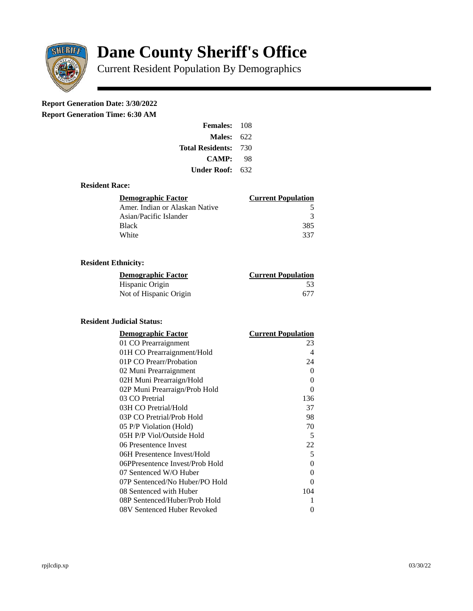

# **Dane County Sheriff's Office**

Current Resident Population By Demographics

# **Report Generation Date: 3/30/2022**

**Report Generation Time: 6:30 AM** 

| <b>Females: 108</b>         |     |
|-----------------------------|-----|
| Males:                      | 622 |
| <b>Total Residents: 730</b> |     |
| CAMP:                       | 98  |
| Under Roof:                 | 632 |

# **Resident Race:**

| Demographic Factor             | <b>Current Population</b> |
|--------------------------------|---------------------------|
| Amer. Indian or Alaskan Native | 5                         |
| Asian/Pacific Islander         | з                         |
| <b>Black</b>                   | 385                       |
| White                          | 337                       |

# **Resident Ethnicity:**

| <u>Demographic Factor</u> | <u>Current Population</u> |
|---------------------------|---------------------------|
| Hispanic Origin           | 53                        |
| Not of Hispanic Origin    | 677                       |

# **Resident Judicial Status:**

| <b>Demographic Factor</b>       | <b>Current Population</b> |
|---------------------------------|---------------------------|
| 01 CO Prearraignment            | 23                        |
| 01H CO Prearraignment/Hold      | 4                         |
| 01P CO Prearr/Probation         | 24                        |
| 02 Muni Prearraignment          | 0                         |
| 02H Muni Prearraign/Hold        | 0                         |
| 02P Muni Prearraign/Prob Hold   | 0                         |
| 03 CO Pretrial                  | 136                       |
| 03H CO Pretrial/Hold            | 37                        |
| 03P CO Pretrial/Prob Hold       | 98                        |
| 05 P/P Violation (Hold)         | 70                        |
| 05H P/P Viol/Outside Hold       | 5                         |
| 06 Presentence Invest           | 22                        |
| 06H Presentence Invest/Hold     | 5                         |
| 06PPresentence Invest/Prob Hold | 0                         |
| 07 Sentenced W/O Huber          | 0                         |
| 07P Sentenced/No Huber/PO Hold  | 0                         |
| 08 Sentenced with Huber         | 104                       |
| 08P Sentenced/Huber/Prob Hold   | 1                         |
| 08V Sentenced Huber Revoked     | 0                         |